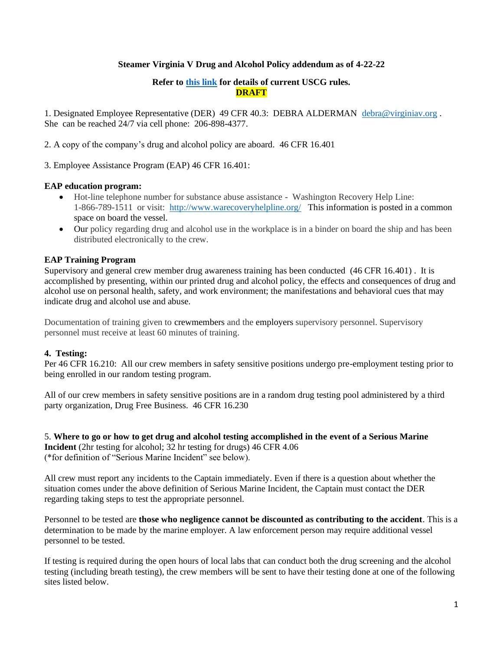# **Steamer Virginia V Drug and Alcohol Policy addendum as of 4-22-22**

# **Refer to [this link](https://www.dco.uscg.mil/Our-Organization/Assistant-Commandant-for-Prevention-Policy-CG-5P/Inspections-Compliance-CG-5PC-/Office-of-Investigations-Casualty-Analysis/Drug-and-Alcohol-Program/Serious-Marine-Incident-Alcohol-an/) for details of current USCG rules. DRAFT**

1. Designated Employee Representative (DER) 49 CFR 40.3: DEBRA ALDERMAN [debra@virginiav.org](mailto:debra@virginiav.org) . She can be reached 24/7 via cell phone: 206-898-4377.

2. A copy of the company's drug and alcohol policy are aboard. 46 CFR 16.401

3. Employee Assistance Program (EAP) 46 CFR 16.401:

# **EAP education program:**

- Hot-line telephone number for substance abuse assistance Washington Recovery Help Line: 1-866-789-1511 or visit: <http://www.warecoveryhelpline.org/>This information is posted in a common space on board the vessel.
- Our policy regarding drug and alcohol use in the workplace is in a binder on board the ship and has been distributed electronically to the crew.

# **EAP Training Program**

Supervisory and general crew member drug awareness training has been conducted (46 CFR 16.401) . It is accomplished by presenting, within our printed drug and alcohol policy, the effects and consequences of drug and alcohol use on personal health, safety, and work environment; the manifestations and behavioral cues that may indicate drug and alcohol use and abuse.

Documentation of training given to crewmembers and the employers supervisory personnel. Supervisory personnel must receive at least 60 minutes of training.

# **4. Testing:**

Per 46 CFR 16.210: All our crew members in safety sensitive positions undergo pre-employment testing prior to being enrolled in our random testing program.

All of our crew members in safety sensitive positions are in a random drug testing pool administered by a third party organization, Drug Free Business. 46 CFR 16.230

5. **Where to go or how to get drug and alcohol testing accomplished in the event of a Serious Marine Incident** (2hr testing for alcohol; 32 hr testing for drugs) 46 CFR 4.06 (\*for definition of "Serious Marine Incident" see below).

All crew must report any incidents to the Captain immediately. Even if there is a question about whether the situation comes under the above definition of Serious Marine Incident, the Captain must contact the DER regarding taking steps to test the appropriate personnel.

Personnel to be tested are **those who negligence cannot be discounted as contributing to the accident**. This is a determination to be made by the marine employer. A law enforcement person may require additional vessel personnel to be tested.

If testing is required during the open hours of local labs that can conduct both the drug screening and the alcohol testing (including breath testing), the crew members will be sent to have their testing done at one of the following sites listed below.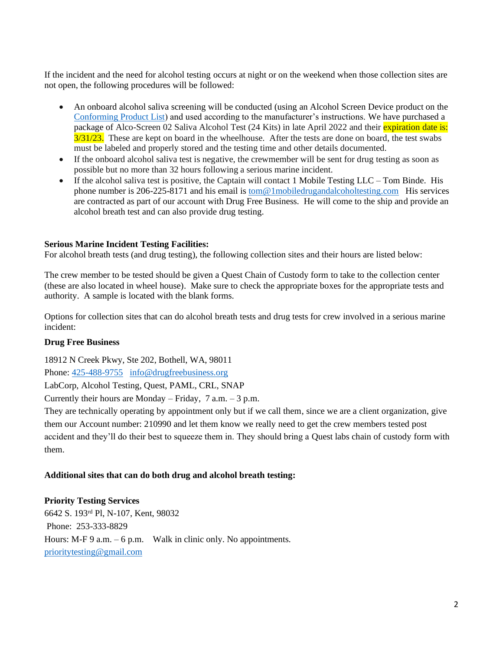If the incident and the need for alcohol testing occurs at night or on the weekend when those collection sites are not open, the following procedures will be followed:

- An onboard alcohol saliva screening will be conducted (using an Alcohol Screen Device product on the Conforming Product List) and used according to the manufacturer's instructions. We have purchased a package of Alco-Screen 02 Saliva Alcohol Test (24 Kits) in late April 2022 and their expiration date is:  $3/31/23$ . These are kept on board in the wheelhouse. After the tests are done on board, the test swabs must be labeled and properly stored and the testing time and other details documented.
- If the onboard alcohol saliva test is negative, the crewmember will be sent for drug testing as soon as possible but no more than 32 hours following a serious marine incident.
- If the alcohol saliva test is positive, the Captain will contact 1 Mobile Testing  $LLC Tom$  Binde. His phone number is 206-225-8171 and his email is tom@1mobiledrugandalcoholtesting.com His services are contracted as part of our account with Drug Free Business. He will come to the ship and provide an alcohol breath test and can also provide drug testing.

## **Serious Marine Incident Testing Facilities:**

For alcohol breath tests (and drug testing), the following collection sites and their hours are listed below:

The crew member to be tested should be given a Quest Chain of Custody form to take to the collection center (these are also located in wheel house). Make sure to check the appropriate boxes for the appropriate tests and authority. A sample is located with the blank forms.

Options for collection sites that can do alcohol breath tests and drug tests for crew involved in a serious marine incident:

#### **Drug Free Business**

18912 N Creek Pkwy, Ste 202, Bothell, WA, 98011

Phone: 425-488-9755 info@drugfreebusiness.org

LabCorp, Alcohol Testing, Quest, PAML, CRL, SNAP

Currently their hours are Monday – Friday,  $7$  a.m. –  $3$  p.m.

They are technically operating by appointment only but if we call them, since we are a client organization, give them our Account number: 210990 and let them know we really need to get the crew members tested post accident and they'll do their best to squeeze them in. They should bring a Quest labs chain of custody form with them.

# **Additional sites that can do both drug and alcohol breath testing:**

#### **Priority Testing Services**

6642 S. 193rd Pl, N-107, Kent, 98032 Phone: 253-333-8829 Hours: M-F 9 a.m.  $-6$  p.m. Walk in clinic only. No appointments. prioritytesting@gmail.com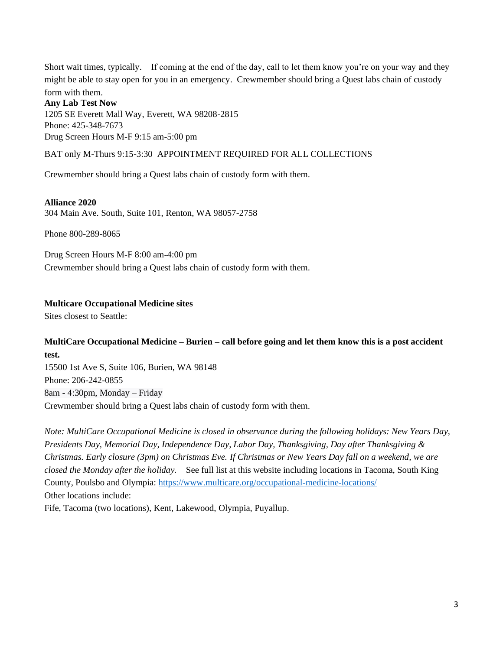Short wait times, typically. If coming at the end of the day, call to let them know you're on your way and they might be able to stay open for you in an emergency. Crewmember should bring a Quest labs chain of custody

# form with them. **Any Lab Test Now** 1205 SE Everett Mall Way, Everett, WA 98208-2815 Phone: 425-348-7673 Drug Screen Hours M-F 9:15 am-5:00 pm

BAT only M-Thurs 9:15-3:30 APPOINTMENT REQUIRED FOR ALL COLLECTIONS

Crewmember should bring a Quest labs chain of custody form with them.

#### **Alliance 2020**

304 Main Ave. South, Suite 101, Renton, WA 98057-2758

Phone 800-289-8065

Drug Screen Hours M-F 8:00 am-4:00 pm Crewmember should bring a Quest labs chain of custody form with them.

## **Multicare Occupational Medicine sites**

Sites closest to Seattle:

# **MultiCare Occupational Medicine – Burien – call before going and let them know this is a post accident test.**

15500 1st Ave S, Suite 106, Burien, WA 98148 Phone: 206-242-0855 8am - 4:30pm, Monday – Friday Crewmember should bring a Quest labs chain of custody form with them.

*Note: MultiCare Occupational Medicine is closed in observance during the following holidays: New Years Day, Presidents Day, Memorial Day, Independence Day, Labor Day, Thanksgiving, Day after Thanksgiving & Christmas. Early closure (3pm) on Christmas Eve. If Christmas or New Years Day fall on a weekend, we are closed the Monday after the holiday.* See full list at this website including locations in Tacoma, South King County, Poulsbo and Olympia: https://www.multicare.org/occupational-medicine-locations/ Other locations include:

Fife, Tacoma (two locations), Kent, Lakewood, Olympia, Puyallup.